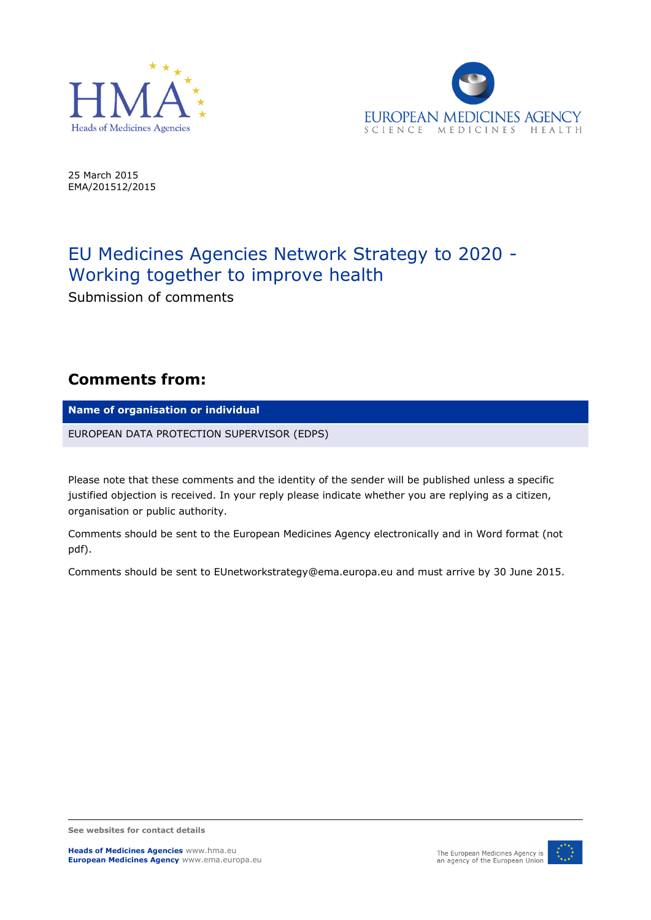



25 March 2015 EMA/201512/2015

## EU Medicines Agencies Network Strategy to 2020 - Working together to improve health

Submission of comments

## **Comments from:**

**Name of organisation or individual**

EUROPEAN DATA PROTECTION SUPERVISOR (EDPS)

Please note that these comments and the identity of the sender will be published unless a specific justified objection is received. In your reply please indicate whether you are replying as a citizen, organisation or public authority.

Comments should be sent to the European Medicines Agency electronically and in Word format (not pdf).

Comments should be sent to EUnetworkstrategy@ema.europa.eu and must arrive by 30 June 2015.

**See websites for contact details**



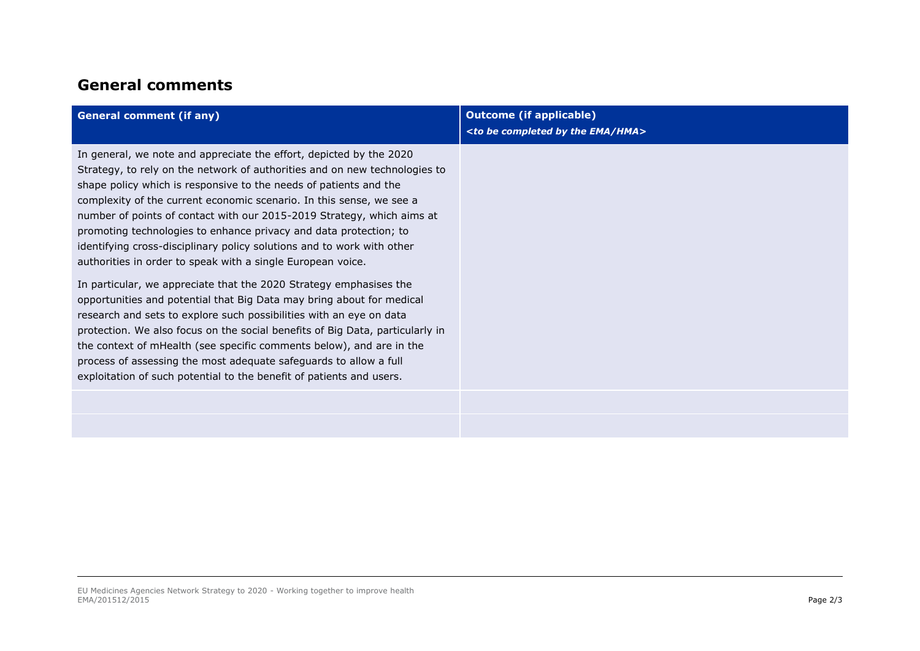## **General comments**

| <b>General comment (if any)</b>                                                                                                                                                                                                                                                                                                                                                                                                                                                                                                                                                        | <b>Outcome (if applicable)</b><br><to be="" by="" completed="" ema="" hma="" the=""></to> |
|----------------------------------------------------------------------------------------------------------------------------------------------------------------------------------------------------------------------------------------------------------------------------------------------------------------------------------------------------------------------------------------------------------------------------------------------------------------------------------------------------------------------------------------------------------------------------------------|-------------------------------------------------------------------------------------------|
| In general, we note and appreciate the effort, depicted by the 2020<br>Strategy, to rely on the network of authorities and on new technologies to<br>shape policy which is responsive to the needs of patients and the<br>complexity of the current economic scenario. In this sense, we see a<br>number of points of contact with our 2015-2019 Strategy, which aims at<br>promoting technologies to enhance privacy and data protection; to<br>identifying cross-disciplinary policy solutions and to work with other<br>authorities in order to speak with a single European voice. |                                                                                           |
| In particular, we appreciate that the 2020 Strategy emphasises the<br>opportunities and potential that Big Data may bring about for medical<br>research and sets to explore such possibilities with an eye on data<br>protection. We also focus on the social benefits of Big Data, particularly in<br>the context of mHealth (see specific comments below), and are in the<br>process of assessing the most adequate safeguards to allow a full<br>exploitation of such potential to the benefit of patients and users.                                                               |                                                                                           |
|                                                                                                                                                                                                                                                                                                                                                                                                                                                                                                                                                                                        |                                                                                           |